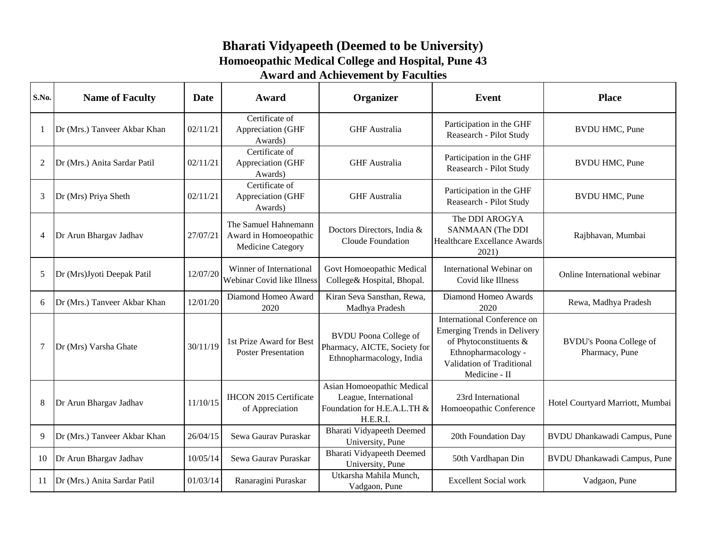## **Bharati Vidyapeeth (Deemed to be University) Homoeopathic Medical College and Hospital, Pune 43 Award and Achievement by Faculties**

| S.No.          | <b>Name of Faculty</b>       | Date     | Award                                                              | Organizer                                                                                      | Event                                                                                                                                                            | <b>Place</b>                                     |
|----------------|------------------------------|----------|--------------------------------------------------------------------|------------------------------------------------------------------------------------------------|------------------------------------------------------------------------------------------------------------------------------------------------------------------|--------------------------------------------------|
| $\mathbf{1}$   | Dr (Mrs.) Tanveer Akbar Khan | 02/11/21 | Certificate of<br>Appreciation (GHF<br>Awards)                     | <b>GHF</b> Australia                                                                           | Participation in the GHF<br>Reasearch - Pilot Study                                                                                                              | <b>BVDU HMC, Pune</b>                            |
| $\mathfrak{2}$ | Dr (Mrs.) Anita Sardar Patil | 02/11/21 | Certificate of<br>Appreciation (GHF<br>Awards)                     | <b>GHF</b> Australia                                                                           | Participation in the GHF<br>Reasearch - Pilot Study                                                                                                              | <b>BVDU HMC, Pune</b>                            |
| 3              | Dr (Mrs) Priya Sheth         | 02/11/21 | Certificate of<br>Appreciation (GHF<br>Awards)                     | <b>GHF</b> Australia                                                                           | Participation in the GHF<br>Reasearch - Pilot Study                                                                                                              | <b>BVDU HMC, Pune</b>                            |
| 4              | Dr Arun Bhargav Jadhav       | 27/07/21 | The Samuel Hahnemann<br>Award in Homoeopathic<br>Medicine Category | Doctors Directors, India &<br>Cloude Foundation                                                | The DDI AROGYA<br><b>SANMAAN</b> (The DDI<br><b>Healthcare Excellance Awards</b><br>2021)                                                                        | Rajbhavan, Mumbai                                |
| 5              | Dr (Mrs)Jyoti Deepak Patil   | 12/07/20 | Winner of International<br>Webinar Covid like Illness              | Govt Homoeopathic Medical<br>College& Hospital, Bhopal.                                        | International Webinar on<br>Covid like Illness                                                                                                                   | Online International webinar                     |
| 6              | Dr (Mrs.) Tanveer Akbar Khan | 12/01/20 | Diamond Homeo Award<br>2020                                        | Kiran Seva Sansthan, Rewa,<br>Madhya Pradesh                                                   | Diamond Homeo Awards<br>2020                                                                                                                                     | Rewa, Madhya Pradesh                             |
| $\tau$         | Dr (Mrs) Varsha Ghate        | 30/11/19 | 1st Prize Award for Best<br><b>Poster Presentation</b>             | <b>BVDU</b> Poona College of<br>Pharmacy, AICTE, Society for<br>Ethnopharmacology, India       | International Conference on<br><b>Emerging Trends in Delivery</b><br>of Phytoconstituents &<br>Ethnopharmacology -<br>Validation of Traditional<br>Medicine - II | <b>BVDU's Poona College of</b><br>Pharmacy, Pune |
| 8              | Dr Arun Bhargav Jadhav       | 11/10/15 | <b>IHCON 2015 Certificate</b><br>of Appreciation                   | Asian Homoeopathic Medical<br>League, International<br>Foundation for H.E.A.L.TH &<br>H.E.R.I. | 23rd International<br>Homoeopathic Conference                                                                                                                    | Hotel Courtyard Marriott, Mumbai                 |
| 9              | Dr (Mrs.) Tanveer Akbar Khan | 26/04/15 | Sewa Gaurav Puraskar                                               | <b>Bharati Vidyapeeth Deemed</b><br>University, Pune                                           | 20th Foundation Day                                                                                                                                              | BVDU Dhankawadi Campus, Pune                     |
| 10             | Dr Arun Bhargav Jadhav       | 10/05/14 | Sewa Gaurav Puraskar                                               | <b>Bharati Vidyapeeth Deemed</b><br>University, Pune                                           | 50th Vardhapan Din                                                                                                                                               | BVDU Dhankawadi Campus, Pune                     |
| 11             | Dr (Mrs.) Anita Sardar Patil | 01/03/14 | Ranaragini Puraskar                                                | Utkarsha Mahila Munch,<br>Vadgaon, Pune                                                        | <b>Excellent Social work</b>                                                                                                                                     | Vadgaon, Pune                                    |